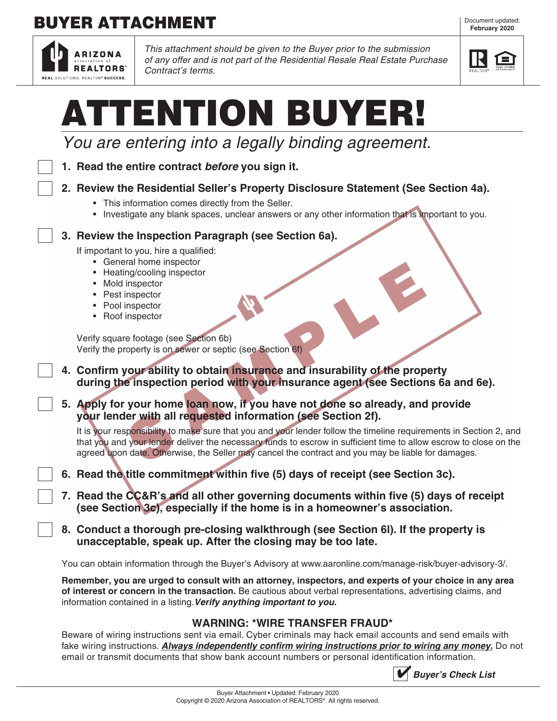# **BUYER ATTACHMENT**



*This attachment should be given to the Buyer prior to the submission of any offer and is not part of the Residential Resale Real Estate Purchase Contract's terms.*



|  | ATTENTION BUYER!                                                                                                                                                                                                                                                                                                                                                                                                                                                                                                                                                                                                                                                                                                                                                                                                                                                                                                                                                                                                |
|--|-----------------------------------------------------------------------------------------------------------------------------------------------------------------------------------------------------------------------------------------------------------------------------------------------------------------------------------------------------------------------------------------------------------------------------------------------------------------------------------------------------------------------------------------------------------------------------------------------------------------------------------------------------------------------------------------------------------------------------------------------------------------------------------------------------------------------------------------------------------------------------------------------------------------------------------------------------------------------------------------------------------------|
|  | You are entering into a legally binding agreement.                                                                                                                                                                                                                                                                                                                                                                                                                                                                                                                                                                                                                                                                                                                                                                                                                                                                                                                                                              |
|  | 1. Read the entire contract before you sign it.                                                                                                                                                                                                                                                                                                                                                                                                                                                                                                                                                                                                                                                                                                                                                                                                                                                                                                                                                                 |
|  | 2. Review the Residential Seller's Property Disclosure Statement (See Section 4a).<br>• This information comes directly from the Seller.<br>• Investigate any blank spaces, unclear answers or any other information that is important to you.                                                                                                                                                                                                                                                                                                                                                                                                                                                                                                                                                                                                                                                                                                                                                                  |
|  | 3. Review the Inspection Paragraph (see Section 6a).<br>If important to you, hire a qualified:<br>• General home inspector<br>Heating/cooling inspector<br>Mold inspector<br>Pest inspector<br>Pool inspector<br>• Roof inspector<br>Verify square footage (see Section 6b)<br>Verify the property is on sewer or septic (see Section 6f)<br>4. Confirm your ability to obtain insurance and insurability of the property<br>during the inspection period with your insurance agent (see Sections 6a and 6e).<br>5. Apply for your home loan now, if you have not done so already, and provide<br>your lender with all requested information (see Section 2f).<br>It is your responsibility to make sure that you and your lender follow the timeline requirements in Section 2, and<br>that you and your lender deliver the necessary funds to escrow in sufficient time to allow escrow to close on the<br>agreed upon date. Otherwise, the Seller may cancel the contract and you may be liable for damages. |
|  | 6. Read the title commitment within five (5) days of receipt (see Section 3c).                                                                                                                                                                                                                                                                                                                                                                                                                                                                                                                                                                                                                                                                                                                                                                                                                                                                                                                                  |
|  | 7. Read the CC&R's and all other governing documents within five (5) days of receipt<br>(see Section 3c), especially if the home is in a homeowner's association.                                                                                                                                                                                                                                                                                                                                                                                                                                                                                                                                                                                                                                                                                                                                                                                                                                               |
|  | 8. Conduct a thorough pre-closing walkthrough (see Section 6I). If the property is<br>unacceptable, speak up. After the closing may be too late.                                                                                                                                                                                                                                                                                                                                                                                                                                                                                                                                                                                                                                                                                                                                                                                                                                                                |
|  | You can obtain information through the Buyer's Advisory at www.aaronline.com/manage-risk/buyer-advisory-3/.                                                                                                                                                                                                                                                                                                                                                                                                                                                                                                                                                                                                                                                                                                                                                                                                                                                                                                     |
|  | Remember, you are urged to consult with an attorney, inspectors, and experts of your choice in any area<br>of interest or concern in the transaction. Be cautious about verbal representations, advertising claims, and<br>information contained in a listing. Verify anything important to you.                                                                                                                                                                                                                                                                                                                                                                                                                                                                                                                                                                                                                                                                                                                |
|  | <b>WARNING: *WIRE TRANSFER FRAUD*</b><br>Beware of wiring instructions sent via email. Cyber criminals may hack email accounts and send emails with<br>fake wiring instructions. <b>Always independently confirm wiring instructions prior to wiring any money.</b> Do not<br>email or transmit documents that show bank account numbers or personal identification information.                                                                                                                                                                                                                                                                                                                                                                                                                                                                                                                                                                                                                                |

Copyright © 2020 Arizona Association of REALTORS®. All rights reserved.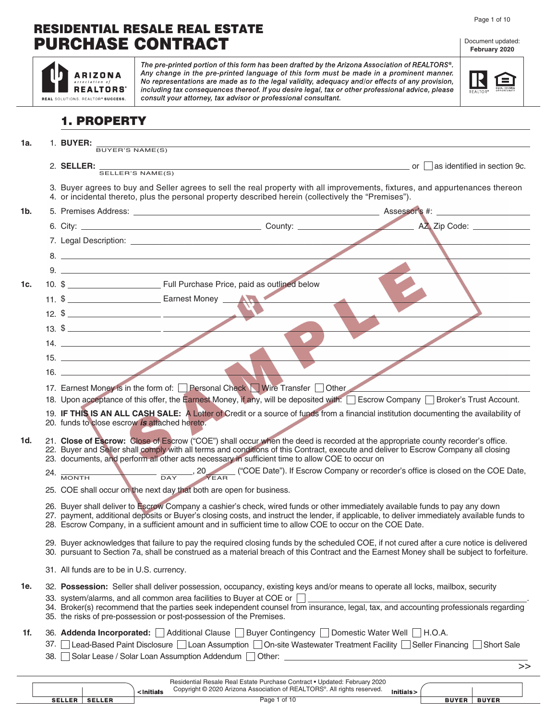#### Page 1 of 10

Document updated: **February 2020**

### RESIDENTIAL RESALE REAL ESTATE PURCHASE CONTRACT

|     | The pre-printed portion of this form has been drafted by the Arizona Association of REALTORS®.<br>Any change in the pre-printed language of this form must be made in a prominent manner.<br>ARIZONA<br>No representations are made as to the legal validity, adequacy and/or effects of any provision,<br>including tax consequences thereof. If you desire legal, tax or other professional advice, please<br><b>REALTORS</b><br>consult your attorney, tax advisor or professional consultant.<br>REAL SOLUTIONS. REALTOR® SUCCESS. |
|-----|----------------------------------------------------------------------------------------------------------------------------------------------------------------------------------------------------------------------------------------------------------------------------------------------------------------------------------------------------------------------------------------------------------------------------------------------------------------------------------------------------------------------------------------|
|     | <b>1. PROPERTY</b>                                                                                                                                                                                                                                                                                                                                                                                                                                                                                                                     |
| 1a. | 1. BUYER:<br>BUYER'S NAME(S)                                                                                                                                                                                                                                                                                                                                                                                                                                                                                                           |
|     | 2. <b>SELLER:</b> $\frac{1}{\text{SELECT'S NAME(S)}}$ or $\Box$ as identified in section 9c.                                                                                                                                                                                                                                                                                                                                                                                                                                           |
|     |                                                                                                                                                                                                                                                                                                                                                                                                                                                                                                                                        |
|     | 3. Buyer agrees to buy and Seller agrees to sell the real property with all improvements, fixtures, and appurtenances thereon<br>4. or incidental thereto, plus the personal property described herein (collectively the "Premises").                                                                                                                                                                                                                                                                                                  |
| 1b. |                                                                                                                                                                                                                                                                                                                                                                                                                                                                                                                                        |
|     |                                                                                                                                                                                                                                                                                                                                                                                                                                                                                                                                        |
|     |                                                                                                                                                                                                                                                                                                                                                                                                                                                                                                                                        |
|     | $8.$ $\overline{\phantom{a}}$                                                                                                                                                                                                                                                                                                                                                                                                                                                                                                          |
|     |                                                                                                                                                                                                                                                                                                                                                                                                                                                                                                                                        |
| 1c. | 10. \$                                                                                                                                                                                                                                                                                                                                                                                                                                                                                                                                 |
|     |                                                                                                                                                                                                                                                                                                                                                                                                                                                                                                                                        |
|     | 12. $\frac{2}{13.}$ $\frac{2}{13.}$ $\frac{2}{13.}$ $\frac{2}{13.}$ $\frac{2}{13.}$ $\frac{2}{13.}$ $\frac{2}{13.}$ $\frac{2}{13.}$ $\frac{2}{13.}$ $\frac{2}{13.}$ $\frac{2}{13.}$ $\frac{2}{13.}$ $\frac{2}{13.}$ $\frac{2}{13.}$ $\frac{2}{13.}$ $\frac{2}{13.}$ $\frac{2}{13.}$ $\frac{2}{13.}$                                                                                                                                                                                                                                    |
|     | 14.                                                                                                                                                                                                                                                                                                                                                                                                                                                                                                                                    |
|     | 15.                                                                                                                                                                                                                                                                                                                                                                                                                                                                                                                                    |
|     |                                                                                                                                                                                                                                                                                                                                                                                                                                                                                                                                        |
|     | 17. Earnest Money is in the form of: Personal Check Wire Transfer Other                                                                                                                                                                                                                                                                                                                                                                                                                                                                |
|     | 18. Upon acceptance of this offer, the Earnest Money, if any, will be deposited with: Escrow Company Broker's Trust Account.                                                                                                                                                                                                                                                                                                                                                                                                           |
|     | 19. IF THIS IS AN ALL CASH SALE: A Letter of Credit or a source of funds from a financial institution documenting the availability of<br>20. funds to close escrow is attached hereto.                                                                                                                                                                                                                                                                                                                                                 |
| 1d. | 21. Close of Escrow: Close of Escrow ("COE") shall occur when the deed is recorded at the appropriate county recorder's office.<br>22. Buyer and Seller shall comply with all terms and conditions of this Contract, execute and deliver to Escrow Company all closing<br>23. documents, and perform all other acts necessary in sufficient time to allow COE to occur on                                                                                                                                                              |
|     | ("COE Date"). If Escrow Company or recorder's office is closed on the COE Date,<br>24.<br><b>MONTH</b><br><b>DAY</b><br>YEAR                                                                                                                                                                                                                                                                                                                                                                                                           |
|     | 25. COE shall occur on the next day that both are open for business.                                                                                                                                                                                                                                                                                                                                                                                                                                                                   |
|     | 26. Buyer shall deliver to Escrow Company a cashier's check, wired funds or other immediately available funds to pay any down<br>27. payment, additional deposits or Buyer's closing costs, and instruct the lender, if applicable, to deliver immediately available funds to<br>28. Escrow Company, in a sufficient amount and in sufficient time to allow COE to occur on the COE Date.                                                                                                                                              |
|     | 29. Buyer acknowledges that failure to pay the required closing funds by the scheduled COE, if not cured after a cure notice is delivered<br>30. pursuant to Section 7a, shall be construed as a material breach of this Contract and the Earnest Money shall be subject to forfeiture.                                                                                                                                                                                                                                                |
|     | 31. All funds are to be in U.S. currency.                                                                                                                                                                                                                                                                                                                                                                                                                                                                                              |
| 1e. | 32. Possession: Seller shall deliver possession, occupancy, existing keys and/or means to operate all locks, mailbox, security<br>33. system/alarms, and all common area facilities to Buyer at COE or                                                                                                                                                                                                                                                                                                                                 |
|     | 34. Broker(s) recommend that the parties seek independent counsel from insurance, legal, tax, and accounting professionals regarding<br>35. the risks of pre-possession or post-possession of the Premises.                                                                                                                                                                                                                                                                                                                            |
| 1f. | 36. Addenda Incorporated:   Additional Clause   Buyer Contingency   Domestic Water Well   H.O.A.                                                                                                                                                                                                                                                                                                                                                                                                                                       |
|     | Lead-Based Paint Disclosure $\Box$ Loan Assumption $\Box$ On-site Wastewater Treatment Facility $\Box$ Seller Financing<br>37.<br>Short Sale                                                                                                                                                                                                                                                                                                                                                                                           |
|     | Solar Lease / Solar Loan Assumption Addendum   Other: _<br>38.<br>>>                                                                                                                                                                                                                                                                                                                                                                                                                                                                   |

|               |               | <initials< th=""><th>Residential Resale Real Estate Purchase Contract • Updated: February 2020<br/>Copyright © 2020 Arizona Association of REALTORS®. All rights reserved.</th><th>Initials&gt;</th><th></th><th></th><th></th></initials<> | Residential Resale Real Estate Purchase Contract • Updated: February 2020<br>Copyright © 2020 Arizona Association of REALTORS®. All rights reserved. | Initials> |              |              |  |
|---------------|---------------|---------------------------------------------------------------------------------------------------------------------------------------------------------------------------------------------------------------------------------------------|------------------------------------------------------------------------------------------------------------------------------------------------------|-----------|--------------|--------------|--|
| <b>SELLER</b> | <b>SELLER</b> |                                                                                                                                                                                                                                             | Page 1 of 10                                                                                                                                         |           | <b>BUYER</b> | <b>BUYER</b> |  |
|               |               |                                                                                                                                                                                                                                             |                                                                                                                                                      |           |              |              |  |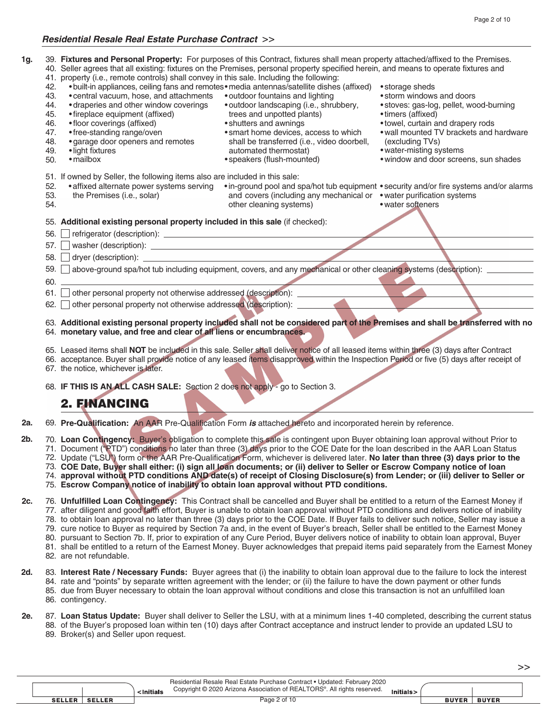#### *Residential Resale Real Estate Purchase Contract* >>

| 1g.    |            | 39. Fixtures and Personal Property: For purposes of this Contract, fixtures shall mean property attached/affixed to the Premises.<br>40. Seller agrees that all existing: fixtures on the Premises, personal property specified herein, and means to operate fixtures and<br>41. property (i.e., remote controls) shall convey in this sale. Including the following: |                                                                                                 |                                                                                         |
|--------|------------|-----------------------------------------------------------------------------------------------------------------------------------------------------------------------------------------------------------------------------------------------------------------------------------------------------------------------------------------------------------------------|-------------------------------------------------------------------------------------------------|-----------------------------------------------------------------------------------------|
|        | 42.<br>43. | . built-in appliances, ceiling fans and remotes · media antennas/satellite dishes (affixed)<br>• central vacuum, hose, and attachments<br>• draperies and other window coverings                                                                                                                                                                                      | • outdoor fountains and lighting<br>· outdoor landscaping (i.e., shrubbery,                     | • storage sheds<br>. storm windows and doors                                            |
|        | 44.<br>45. | • fireplace equipment (affixed)                                                                                                                                                                                                                                                                                                                                       | trees and unpotted plants)                                                                      | · stoves: gas-log, pellet, wood-burning<br>• timers (affixed)                           |
|        | 46.        | • floor coverings (affixed)                                                                                                                                                                                                                                                                                                                                           | • shutters and awnings                                                                          | • towel, curtain and drapery rods                                                       |
|        | 47.        | • free-standing range/oven                                                                                                                                                                                                                                                                                                                                            | • smart home devices, access to which                                                           | . wall mounted TV brackets and hardware                                                 |
|        | 48.<br>49. | • garage door openers and remotes<br>· light fixtures                                                                                                                                                                                                                                                                                                                 | shall be transferred (i.e., video doorbell,<br>automated thermostat)                            | (excluding TVs)<br>• water-misting systems                                              |
|        | 50.        | • mailbox                                                                                                                                                                                                                                                                                                                                                             | • speakers (flush-mounted)                                                                      | . window and door screens, sun shades                                                   |
|        |            | 51. If owned by Seller, the following items also are included in this sale:                                                                                                                                                                                                                                                                                           |                                                                                                 |                                                                                         |
|        | 52.        | • affixed alternate power systems serving                                                                                                                                                                                                                                                                                                                             |                                                                                                 | • in-ground pool and spa/hot tub equipment • security and/or fire systems and/or alarms |
|        | 53.<br>54. | the Premises (i.e., solar)                                                                                                                                                                                                                                                                                                                                            | and covers (including any mechanical or • water purification systems<br>other cleaning systems) | • water softeners                                                                       |
|        |            | 55. Additional existing personal property included in this sale (if checked):                                                                                                                                                                                                                                                                                         |                                                                                                 |                                                                                         |
|        | 56.        |                                                                                                                                                                                                                                                                                                                                                                       |                                                                                                 |                                                                                         |
|        | 57.        |                                                                                                                                                                                                                                                                                                                                                                       |                                                                                                 |                                                                                         |
|        | 58.        |                                                                                                                                                                                                                                                                                                                                                                       |                                                                                                 |                                                                                         |
|        | 59.        | above-ground spa/hot tub including equipment, covers, and any mechanical or other cleaning systems (description):                                                                                                                                                                                                                                                     |                                                                                                 |                                                                                         |
|        | 60.        |                                                                                                                                                                                                                                                                                                                                                                       |                                                                                                 |                                                                                         |
|        | 61.        | other personal property not otherwise addressed (description):                                                                                                                                                                                                                                                                                                        |                                                                                                 |                                                                                         |
|        | 62.        | other personal property not otherwise addressed (description): __________                                                                                                                                                                                                                                                                                             |                                                                                                 |                                                                                         |
|        |            | 63. Additional existing personal property included shall not be considered part of the Premises and shall be transferred with no<br>64. monetary value, and free and clear of all liens or encumbrances.                                                                                                                                                              |                                                                                                 |                                                                                         |
|        |            | 65. Leased items shall NOT be included in this sale. Seller shall deliver notice of all leased items within three (3) days after Contract                                                                                                                                                                                                                             |                                                                                                 |                                                                                         |
|        |            | 66. acceptance. Buyer shall provide notice of any leased items disapproved within the Inspection Period or five (5) days after receipt of                                                                                                                                                                                                                             |                                                                                                 |                                                                                         |
|        |            | 67. the notice, whichever is later.                                                                                                                                                                                                                                                                                                                                   |                                                                                                 |                                                                                         |
|        |            | 68. IF THIS IS AN ALL CASH SALE: Section 2 does not apply - go to Section 3.                                                                                                                                                                                                                                                                                          |                                                                                                 |                                                                                         |
|        |            | 2. FINANCING                                                                                                                                                                                                                                                                                                                                                          |                                                                                                 |                                                                                         |
| 2a.    |            | 69. Pre-Qualification: An AAR Pre-Qualification Form is attached hereto and incorporated herein by reference.                                                                                                                                                                                                                                                         |                                                                                                 |                                                                                         |
| $2b$ . |            | 70. Loan Contingency: Buyer's obligation to complete this sale is contingent upon Buyer obtaining loan approval without Prior to                                                                                                                                                                                                                                      |                                                                                                 |                                                                                         |
|        |            | 71. Document ("PTD") conditions no later than three (3) days prior to the COE Date for the loan described in the AAR Loan Status<br>72. Update ("LSU") form or the AAR Pre-Qualification Form, whichever is delivered later. No later than three (3) days prior to the                                                                                                |                                                                                                 |                                                                                         |
|        |            | 73. COE Date, Buyer shall either: (i) sign all loan documents; or (ii) deliver to Seller or Escrow Company notice of loan                                                                                                                                                                                                                                             |                                                                                                 |                                                                                         |
|        |            | 74. approval without PTD conditions AND date(s) of receipt of Closing Disclosure(s) from Lender; or (iii) deliver to Seller or                                                                                                                                                                                                                                        |                                                                                                 |                                                                                         |
|        |            | 75. Escrow Company notice of inability to obtain loan approval without PTD conditions.                                                                                                                                                                                                                                                                                |                                                                                                 |                                                                                         |
| 2c.    |            | 76. Unfulfilled Loan Contingency: This Contract shall be cancelled and Buyer shall be entitled to a return of the Earnest Money if                                                                                                                                                                                                                                    |                                                                                                 |                                                                                         |
|        |            | 77. after diligent and good faith effort, Buyer is unable to obtain loan approval without PTD conditions and delivers notice of inability<br>78. to obtain loan approval no later than three (3) days prior to the COE Date. If Buyer fails to deliver such notice, Seller may issue a                                                                                |                                                                                                 |                                                                                         |
|        |            | 79. cure notice to Buyer as required by Section 7a and, in the event of Buyer's breach, Seller shall be entitled to the Earnest Money                                                                                                                                                                                                                                 |                                                                                                 |                                                                                         |
|        |            | 80. pursuant to Section 7b. If, prior to expiration of any Cure Period, Buyer delivers notice of inability to obtain loan approval, Buyer                                                                                                                                                                                                                             |                                                                                                 |                                                                                         |
|        |            | 81. shall be entitled to a return of the Earnest Money. Buyer acknowledges that prepaid items paid separately from the Earnest Money<br>82. are not refundable.                                                                                                                                                                                                       |                                                                                                 |                                                                                         |
|        |            |                                                                                                                                                                                                                                                                                                                                                                       |                                                                                                 |                                                                                         |
| 2d.    |            | 83. Interest Rate / Necessary Funds: Buyer agrees that (i) the inability to obtain loan approval due to the failure to lock the interest<br>84. rate and "points" by separate written agreement with the lender; or (ii) the failure to have the down payment or other funds                                                                                          |                                                                                                 |                                                                                         |
|        |            | 85. due from Buyer necessary to obtain the loan approval without conditions and close this transaction is not an unfulfilled loan                                                                                                                                                                                                                                     |                                                                                                 |                                                                                         |
|        |            | 86. contingency.                                                                                                                                                                                                                                                                                                                                                      |                                                                                                 |                                                                                         |

#### **Loan Status Update:** Buyer shall deliver to Seller the LSU, with at a minimum lines 1-40 completed, describing the current status 87. of the Buyer's proposed loan within ten (10) days after Contract acceptance and instruct lender to provide an updated LSU to Broker(s) and Seller upon request. 88. 89. **2e.**

| Copyright © 2020 Arizona Association of REALTORS®. All rights reserved.<br><initials< th=""><th>Initials&gt;</th><th></th><th></th><th></th></initials<> | Initials> |              |              |  |
|----------------------------------------------------------------------------------------------------------------------------------------------------------|-----------|--------------|--------------|--|
| Page 2 of 10<br><b>SELLER</b><br><b>SELLER</b>                                                                                                           |           | <b>BUYER</b> | <b>BUYER</b> |  |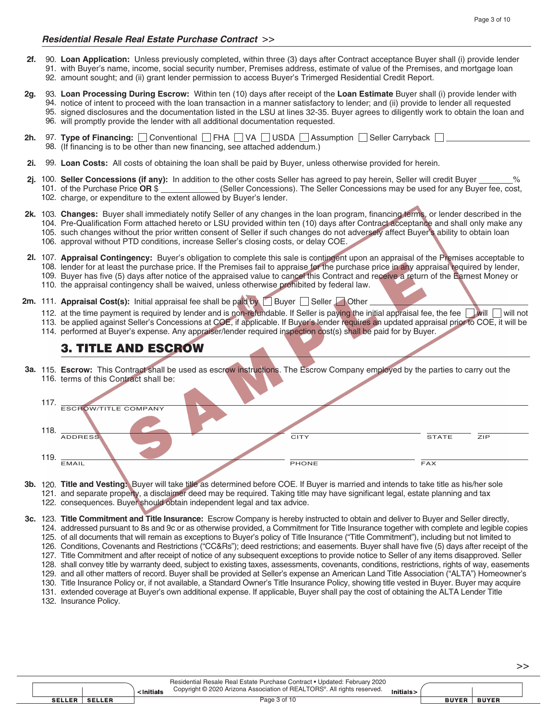- **Loan Application:** Unless previously completed, within three (3) days after Contract acceptance Buyer shall (i) provide lender 90. 91. with Buyer's name, income, social security number, Premises address, estimate of value of the Premises, and mortgage loan 92. amount sought; and (ii) grant lender permission to access Buyer's Trimerged Residential Credit Report. **2f.**
- **Loan Processing During Escrow:** Within ten (10) days after receipt of the **Loan Estimate** Buyer shall (i) provide lender with 93. 94. notice of intent to proceed with the loan transaction in a manner satisfactory to lender; and (ii) provide to lender all requested 95. signed disclosures and the documentation listed in the LSU at lines 32-35. Buyer agrees to diligently work to obtain the loan and 96. will promptly provide the lender with all additional documentation requested. **2g.**
- 97. Type of Financing:  $\Box$  Conventional  $\Box$  FHA  $\Box$  VA  $\Box$  USDA  $\Box$  Assumption  $\Box$  Seller Carryback 98. (If financing is to be other than new financing, see attached addendum.) **2h.**
- 99. Loan Costs: All costs of obtaining the loan shall be paid by Buyer, unless otherwise provided for herein. **2i.**
- 2j. 100. Seller Concessions (if any): In addition to the other costs Seller has agreed to pay herein, Seller will credit Buyer \_\_\_\_\_\_\_% **CALCASE CORPURCIES CORREGIST:** CONCESSIONS MAY be used for any Buyer fee, cost, 102. charge, or expenditure to the extent allowed by Buyer's lender. 101. of the Purchase Price OR \$
- **Changes:** Buyer shall immediately notify Seller of any changes in the loan program, financing terms, or lender described in the 103. **2k.** 104. Pre-Qualification Form attached hereto or LSU provided within ten (10) days after Contract acceptance and shall only make any 105. such changes without the prior written consent of Seller if such changes do not adversely affect Buyer's ability to obtain loan 106. approval without PTD conditions, increase Seller's closing costs, or delay COE.
- **Appraisal Contingency:** Buyer's obligation to complete this sale is contingent upon an appraisal of the Premises acceptable to 107. **2l.** 108. lender for at least the purchase price. If the Premises fail to appraise for the purchase price in any appraisal required by lender, 109. Buyer has five (5) days after notice of the appraised value to cancel this Contract and receive a return of the Earnest Money or 110. the appraisal contingency shall be waived, unless otherwise prohibited by federal law.
- **2m.** 111. **Appraisal Cost(s):** Initial appraisal fee shall be paid by **Buyer** Seller **Seller** 
	- 112. at the time payment is required by lender and is non-refundable. If Seller is paying the initial appraisal fee, the fee will will will not
	- 113. be applied against Seller's Concessions at COE, if applicable. If Buyer's lender requires an updated appraisal prior to COE, it will be
	- 114. performed at Buyer's expense. Any appraiser/lender required inspection cost(s) shall be paid for by Buyer.

### 3. TITLE AND ESCROW

**Escrow:** This Contract shall be used as escrow instructions. The Escrow Company employed by the parties to carry out the 115. **3a.** 116. terms of this Contract shall be:

| 117                                           |      |
|-----------------------------------------------|------|
| <b>ESCROW/TITLE COMPANY</b>                   |      |
| 118                                           |      |
| <b>ADDRESS</b><br><b>CITY</b><br><b>STATE</b> | ZIP. |
| 119                                           |      |
| EMAIL<br>PHONE<br><b>FAX</b>                  |      |

- **Title and Vesting:** Buyer will take title as determined before COE. If Buyer is married and intends to take title as his/her sole 120. **3b.** 121. and separate property, a disclaimer deed may be required. Taking title may have significant legal, estate planning and tax 122. consequences. Buyer should obtain independent legal and tax advice.
- **Title Commitment and Title Insurance:** Escrow Company is hereby instructed to obtain and deliver to Buyer and Seller directly, 123. **3c.**124. addressed pursuant to 8s and 9c or as otherwise provided, a Commitment for Title Insurance together with complete and legible copies 125. of all documents that will remain as exceptions to Buyer's policy of Title Insurance ("Title Commitment"), including but not limited to 126. Conditions, Covenants and Restrictions ("CC&Rs"); deed restrictions; and easements. Buyer shall have five (5) days after receipt of the 127. Title Commitment and after receipt of notice of any subsequent exceptions to provide notice to Seller of any items disapproved. Seller 128. shall convey title by warranty deed, subject to existing taxes, assessments, covenants, conditions, restrictions, rights of way, easements 129. and all other matters of record. Buyer shall be provided at Seller's expense an American Land Title Association ("ALTA") Homeowner's 130. Title Insurance Policy or, if not available, a Standard Owner's Title Insurance Policy, showing title vested in Buyer. Buyer may acquire 131. extended coverage at Buyer's own additional expense. If applicable, Buyer shall pay the cost of obtaining the ALTA Lender Title
	- 132. Insurance Policy.

|               |  | <initials< th=""><th>Residential Resale Real Estate Purchase Contract • Updated: February 2020<br/>Copyright © 2020 Arizona Association of REALTORS®. All rights reserved.</th><th>Initials&gt;</th><th></th><th></th><th></th></initials<> | Residential Resale Real Estate Purchase Contract • Updated: February 2020<br>Copyright © 2020 Arizona Association of REALTORS®. All rights reserved. | Initials> |              |              |  |
|---------------|--|---------------------------------------------------------------------------------------------------------------------------------------------------------------------------------------------------------------------------------------------|------------------------------------------------------------------------------------------------------------------------------------------------------|-----------|--------------|--------------|--|
| <b>SELLER</b> |  |                                                                                                                                                                                                                                             | Page 3 of 10                                                                                                                                         |           | <b>BUYER</b> | <b>BUYER</b> |  |

>>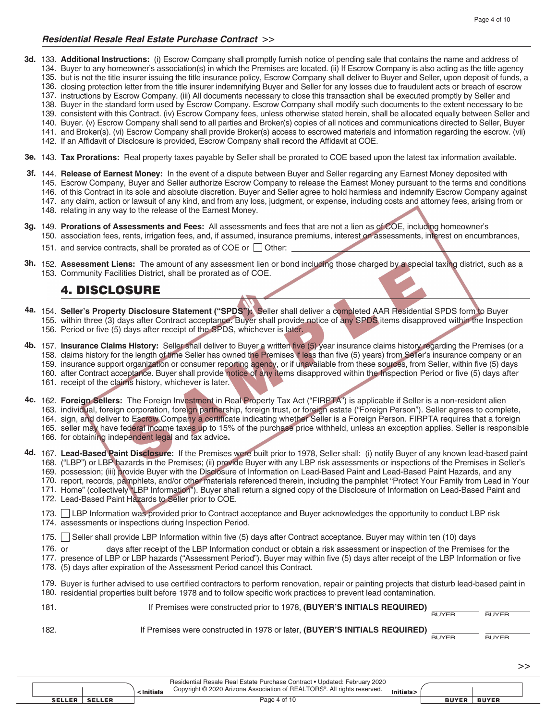#### *Residential Resale Real Estate Purchase Contract* >>

- 3d. 133. Additional Instructions: (i) Escrow Company shall promptly furnish notice of pending sale that contains the name and address of 134. Buyer to any homeowner's association(s) in which the Premises are located. (ii) If Escrow Company is also acting as the title agency
	- 135. but is not the title insurer issuing the title insurance policy, Escrow Company shall deliver to Buyer and Seller, upon deposit of funds, a
	- 136. closing protection letter from the title insurer indemnifying Buyer and Seller for any losses due to fraudulent acts or breach of escrow
	- 137. instructions by Escrow Company. (iii) All documents necessary to close this transaction shall be executed promptly by Seller and
	- 138. Buyer in the standard form used by Escrow Company. Escrow Company shall modify such documents to the extent necessary to be
	- 139. consistent with this Contract. (iv) Escrow Company fees, unless otherwise stated herein, shall be allocated equally between Seller and
	- 140. Buyer. (v) Escrow Company shall send to all parties and Broker(s) copies of all notices and communications directed to Seller, Buyer 141. and Broker(s). (vi) Escrow Company shall provide Broker(s) access to escrowed materials and information regarding the escrow. (vii)
	- 142. If an Affidavit of Disclosure is provided, Escrow Company shall record the Affidavit at COE.
- **Tax Prorations:** Real property taxes payable by Seller shall be prorated to COE based upon the latest tax information available. 143. **3e.**
- **Release of Earnest Money:** In the event of a dispute between Buyer and Seller regarding any Earnest Money deposited with 144. **3f.**
	- Escrow Company, Buyer and Seller authorize Escrow Company to release the Earnest Money pursuant to the terms and conditions 145.
	- 146. of this Contract in its sole and absolute discretion. Buyer and Seller agree to hold harmless and indemnify Escrow Company against
	- 147. any claim, action or lawsuit of any kind, and from any loss, judgment, or expense, including costs and attorney fees, arising from or
	- 148. relating in any way to the release of the Earnest Money.
- **Prorations of Assessments and Fees:** All assessments and fees that are not a lien as of COE, including homeowner's 149. **3g.** 150. association fees, rents, irrigation fees, and, if assumed, insurance premiums, interest on assessments, interest on encumbrances,
	- 151. and service contracts, shall be prorated as of COE or  $\Box$  Other:
- **3h.** 152. Assessment Liens: The amount of any assessment lien or bond including those charged by a special taxing district, such as a 153. Community Facilities District, shall be prorated as of COE.

### 4. DISCLOSURE

- **Seller's Property Disclosure Statement ("SPDS"):** Seller shall deliver a completed AAR Residential SPDS form to Buyer 154. **4a.** 155. within three (3) days after Contract acceptance. Buyer shall provide notice of any SPDS items disapproved within the Inspection 156. Period or five (5) days after receipt of the SPDS, whichever is later.
- **Insurance Claims History:** Seller shall deliver to Buyer a written five (5) year insurance claims history regarding the Premises (or a 157. **4b.** 158. claims history for the length of time Seller has owned the Premises if less than five (5) years) from Seller's insurance company or an 159. insurance support organization or consumer reporting agency, or if unavailable from these sources, from Seller, within five (5) days 160. after Contract acceptance. Buyer shall provide notice of any items disapproved within the Inspection Period or five (5) days after
	- 161. receipt of the claims history, whichever is later.
- 4c. 162. Foreign Sellers: The Foreign Investment in Real Property Tax Act ("FIRPTA") is applicable if Seller is a non-resident alien 163. individual, foreign corporation, foreign partnership, foreign trust, or foreign estate ("Foreign Person"). Seller agrees to complete, 164. sign, and deliver to Escrow Company a certificate indicating whether Seller is a Foreign Person. FIRPTA requires that a foreign 165. seller may have federal income taxes up to 15% of the purchase price withheld, unless an exception applies. Seller is responsible
	- 166. for obtaining independent legal and tax advice.
- **Lead-Based Paint Disclosure:** If the Premises were built prior to 1978, Seller shall: (i) notify Buyer of any known lead-based paint 167. **4d.**168. ("LBP") or LBP hazards in the Premises; (ii) provide Buyer with any LBP risk assessments or inspections of the Premises in Seller's 169. possession; (iii) provide Buyer with the Disclosure of Information on Lead-Based Paint and Lead-Based Paint Hazards, and any 170. report, records, pamphlets, and/or other materials referenced therein, including the pamphlet "Protect Your Family from Lead in Your 171. Home" (collectively "LBP Information"). Buyer shall return a signed copy of the Disclosure of Information on Lead-Based Paint and
	- 172. Lead-Based Paint Hazards to Seller prior to COE.
	- 173. IBP Information was provided prior to Contract acceptance and Buyer acknowledges the opportunity to conduct LBP risk 174. assessments or inspections during Inspection Period.
	- 175. Seller shall provide LBP Information within five (5) days after Contract acceptance. Buyer may within ten (10) days
	- days after receipt of the LBP Information conduct or obtain a risk assessment or inspection of the Premises for the 176.
	- 177. presence of LBP or LBP hazards ("Assessment Period"). Buyer may within five (5) days after receipt of the LBP Information or five (5) days after expiration of the Assessment Period cancel this Contract. 178.
	- ľ 179. Buyer is further advised to use certified contractors to perform renovation, repair or painting projects that disturb lead-based paint in 180. residential properties built before 1978 and to follow specific work practices to prevent lead contamination.

| 181. | If Premises were constructed prior to 1978, (BUYER'S INITIALS REQUIRED)    |              |              |
|------|----------------------------------------------------------------------------|--------------|--------------|
|      |                                                                            | <b>BUYER</b> | <b>BUYER</b> |
| 182. | If Premises were constructed in 1978 or later, (BUYER'S INITIALS REQUIRED) |              |              |
|      |                                                                            | <b>BUYER</b> | <b>BUYER</b> |
|      |                                                                            |              |              |

|  |               | <initials< th=""><th colspan="2">Residential Resale Real Estate Purchase Contract • Updated: February 2020<br/>Copyright © 2020 Arizona Association of REALTORS®. All rights reserved.<br/>Initials&gt;</th><th colspan="2"></th></initials<> | Residential Resale Real Estate Purchase Contract • Updated: February 2020<br>Copyright © 2020 Arizona Association of REALTORS®. All rights reserved.<br>Initials> |              |  |              |              |
|--|---------------|-----------------------------------------------------------------------------------------------------------------------------------------------------------------------------------------------------------------------------------------------|-------------------------------------------------------------------------------------------------------------------------------------------------------------------|--------------|--|--------------|--------------|
|  | <b>SELLER</b> | <b>SELLER</b>                                                                                                                                                                                                                                 |                                                                                                                                                                   | Page 4 of 10 |  | <b>BUYER</b> | <b>BUYER</b> |
|  |               |                                                                                                                                                                                                                                               |                                                                                                                                                                   |              |  |              |              |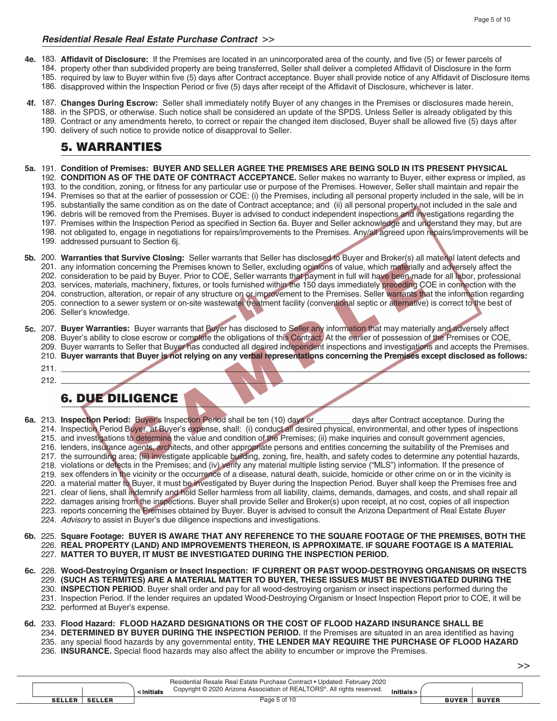#### *Residential Resale Real Estate Purchase Contract* >>

- **Affidavit of Disclosure:** If the Premises are located in an unincorporated area of the county, and five (5) or fewer parcels of **4e.** 183. 184. property other than subdivided property are being transferred, Seller shall deliver a completed Affidavit of Disclosure in the form 185. required by law to Buyer within five (5) days after Contract acceptance. Buyer shall provide notice of any Affidavit of Disclosure items 186. disapproved within the Inspection Period or five (5) days after receipt of the Affidavit of Disclosure, whichever is later.
- **Changes During Escrow:** Seller shall immediately notify Buyer of any changes in the Premises or disclosures made herein, **4f.** 187. 188. in the SPDS, or otherwise. Such notice shall be considered an update of the SPDS. Unless Seller is already obligated by this 189. Contract or any amendments hereto, to correct or repair the changed item disclosed, Buyer shall be allowed five (5) days after
	- 190. delivery of such notice to provide notice of disapproval to Seller.

### 5. WARRANTIES

- **Condition of Premises: BUYER AND SELLER AGREE THE PREMISES ARE BEING SOLD IN ITS PRESENT PHYSICAL 5a.** 191.
	- **CONDITION AS OF THE DATE OF CONTRACT ACCEPTANCE.** Seller makes no warranty to Buyer, either express or implied, as 192. 193. to the condition, zoning, or fitness for any particular use or purpose of the Premises. However, Seller shall maintain and repair the
	- 194. Premises so that at the earlier of possession or COE: (i) the Premises, including all personal property included in the sale, will be in
	- 195. substantially the same condition as on the date of Contract acceptance; and (ii) all personal property not included in the sale and
	- 196. debris will be removed from the Premises. Buyer is advised to conduct independent inspections and investigations regarding the
	- 197. Premises within the Inspection Period as specified in Section 6a. Buyer and Seller acknowledge and understand they may, but are
	- 198. not obligated to, engage in negotiations for repairs/improvements to the Premises. Any/all agreed upon repairs/improvements will be
	- 199. addressed pursuant to Section 6j.
- **Warranties that Survive Closing:** Seller warrants that Seller has disclosed to Buyer and Broker(s) all material latent defects and **5b.** 200. 201. any information concerning the Premises known to Seller, excluding opinions of value, which materially and adversely affect the 202. consideration to be paid by Buyer. Prior to COE, Seller warrants that payment in full will have been made for all labor, professional 203. services, materials, machinery, fixtures, or tools furnished within the 150 days immediately preceding COE in connection with the 204. construction, alteration, or repair of any structure on or improvement to the Premises. Seller warrants that the information regarding 205. connection to a sewer system or on-site wastewater treatment facility (conventional septic or alternative) is correct to the best of
	- 206. Seller's knowledge.
- **5c.** 207. Buyer Warranties: Buyer warrants that Buyer has disclosed to Seller any information that may materially and adversely affect 208. Buyer's ability to close escrow or complete the obligations of this Contract. At the earlier of possession of the Premises or COE,
	- 209. Buyer warrants to Seller that Buyer has conducted all desired independent inspections and investigations and accepts the Premises.
	- **Buyer warrants that Buyer is not relying on any verbal representations concerning the Premises except disclosed as follows:** 210.

211. 212.

## 6. DUE DILIGENCE

- 6a. 213. Inspection Period: Buyer's Inspection Period shall be ten (10) days or **contract acceptance.** During the 214. Inspection Period Buyer, at Buyer's expense, shall: (i) conduct all desired physical, environmental, and other types of inspections 215. and investigations to determine the value and condition of the Premises; (ii) make inquiries and consult government agencies, 216. lenders, insurance agents, architects, and other appropriate persons and entities concerning the suitability of the Premises and 217. the surrounding area; (iii) investigate applicable building, zoning, fire, health, and safety codes to determine any potential hazards, 218. violations or defects in the Premises; and (iv) verify any material multiple listing service ("MLS") information. If the presence of 219. sex offenders in the vicinity or the occurrence of a disease, natural death, suicide, homicide or other crime on or in the vicinity is 220. a material matter to Buyer, it must be investigated by Buyer during the Inspection Period. Buyer shall keep the Premises free and 221. clear of liens, shall indemnify and hold Seller harmless from all liability, claims, demands, damages, and costs, and shall repair all 222. damages arising from the inspections. Buyer shall provide Seller and Broker(s) upon receipt, at no cost, copies of all inspection 223. reports concerning the Premises obtained by Buyer. Buyer is advised to consult the Arizona Department of Real Estate Buyer *Advisory* to assist in Buyer's due diligence inspections and investigations. 224. **Square Footage: BUYER IS AWARE THAT ANY REFERENCE TO THE SQUARE FOOTAGE OF THE PREMISES, BOTH THE 6b.** 225. **REAL PROPERTY (LAND) AND IMPROVEMENTS THEREON, IS APPROXIMATE. IF SQUARE FOOTAGE IS A MATERIAL**  226. **MATTER TO BUYER, IT MUST BE INVESTIGATED DURING THE INSPECTION PERIOD.** 227. **Wood-Destroying Organism or Insect Inspection: IF CURRENT OR PAST WOOD-DESTROYING ORGANISMS OR INSECTS 6c.** 228. **(SUCH AS TERMITES) ARE A MATERIAL MATTER TO BUYER, THESE ISSUES MUST BE INVESTIGATED DURING THE**  229. 230. **INSPECTION PERIOD**. Buyer shall order and pay for all wood-destroying organism or insect inspections performed during the 231. Inspection Period. If the lender requires an updated Wood-Destroying Organism or Insect Inspection Report prior to COE, it will be 232. performed at Buyer's expense. **Flood Hazard: FLOOD HAZARD DESIGNATIONS OR THE COST OF FLOOD HAZARD INSURANCE SHALL BE 6d.** 233.
	- 234. DETERMINED BY BUYER DURING THE INSPECTION PERIOD. If the Premises are situated in an area identified as having 235. any special flood hazards by any governmental entity, THE LENDER MAY REQUIRE THE PURCHASE OF FLOOD HAZARD
	- 236. **INSURANCE.** Special flood hazards may also affect the ability to encumber or improve the Premises.

Residential Resale Real Estate Purchase Contract • Updated: February 2020 Copyright © 2020 Arizona Association of REALTORS®. All rights reserved. <Initials Initials> **SELLER** SELLER Page 5 of 10 **BUYER BUYER**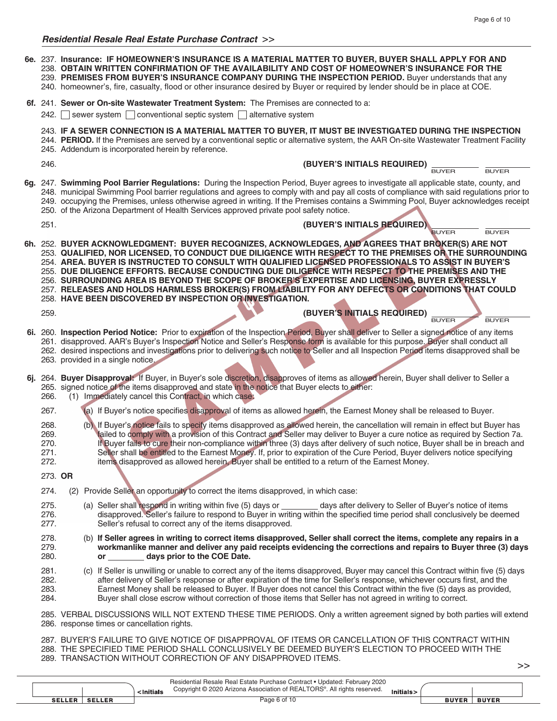**Insurance: IF HOMEOWNER'S INSURANCE IS A MATERIAL MATTER TO BUYER, BUYER SHALL APPLY FOR AND 6e.** 237. **OBTAIN WRITTEN CONFIRMATION OF THE AVAILABILITY AND COST OF HOMEOWNER'S INSURANCE FOR THE**  238. **PREMISES FROM BUYER'S INSURANCE COMPANY DURING THE INSPECTION PERIOD.** Buyer understands that any 239. 240. homeowner's, fire, casualty, flood or other insurance desired by Buyer or required by lender should be in place at COE. 6f. 241. Sewer or On-site Wastewater Treatment System: The Premises are connected to a: 242.  $\Box$  sewer system  $\Box$  conventional septic system  $\Box$  alternative system **IF A SEWER CONNECTION IS A MATERIAL MATTER TO BUYER, IT MUST BE INVESTIGATED DURING THE INSPECTION** 243. 244. PERIOD. If the Premises are served by a conventional septic or alternative system, the AAR On-site Wastewater Treatment Facility 245. Addendum is incorporated herein by reference. **(BUYER'S INITIALS REQUIRED)** BUYER BUYER 6g. 247. Swimming Pool Barrier Regulations: During the Inspection Period, Buyer agrees to investigate all applicable state, county, and 248. municipal Swimming Pool barrier regulations and agrees to comply with and pay all costs of compliance with said regulations prior to 249. occupying the Premises, unless otherwise agreed in writing. If the Premises contains a Swimming Pool, Buyer acknowledges receipt 250. of the Arizona Department of Health Services approved private pool safety notice. **(BUYER'S INITIALS REQUIRED)** BUYER BUYER **BUYER ACKNOWLEDGMENT: BUYER RECOGNIZES, ACKNOWLEDGES, AND AGREES THAT BROKER(S) ARE NOT 6h.** 252. **QUALIFIED, NOR LICENSED, TO CONDUCT DUE DILIGENCE WITH RESPECT TO THE PREMISES OR THE SURROUNDING**  253. **AREA. BUYER IS INSTRUCTED TO CONSULT WITH QUALIFIED LICENSED PROFESSIONALS TO ASSIST IN BUYER'S**  254. **DUE DILIGENCE EFFORTS. BECAUSE CONDUCTING DUE DILIGENCE WITH RESPECT TO THE PREMISES AND THE**  255. **SURROUNDING AREA IS BEYOND THE SCOPE OF BROKER'S EXPERTISE AND LICENSING, BUYER EXPRESSLY**  256. **RELEASES AND HOLDS HARMLESS BROKER(S) FROM LIABILITY FOR ANY DEFECTS OR CONDITIONS THAT COULD**  257. **HAVE BEEN DISCOVERED BY INSPECTION OR INVESTIGATION.** 258. **(BUYER'S INITIALS REQUIRED)** BUYER BUYER **Inspection Period Notice:** Prior to expiration of the Inspection Period, Buyer shall deliver to Seller a signed notice of any items **6i.** 260. 261. disapproved. AAR's Buyer's Inspection Notice and Seller's Response form is available for this purpose. Buyer shall conduct all 262. desired inspections and investigations prior to delivering such notice to Seller and all Inspection Period items disapproved shall be 263. provided in a single notice. **Buyer Disapproval:** If Buyer, in Buyer's sole discretion, disapproves of items as allowed herein, Buyer shall deliver to Seller a **6j.** 264. 265. signed notice of the items disapproved and state in the notice that Buyer elects to either: (1) Immediately cancel this Contract, in which case: (a) If Buyer's notice specifies disapproval of items as allowed herein, the Earnest Money shall be released to Buyer. (b) If Buyer's notice fails to specify items disapproved as allowed herein, the cancellation will remain in effect but Buyer has failed to comply with a provision of this Contract and Seller may deliver to Buyer a cure notice as required by Section 7a. If Buyer fails to cure their non-compliance within three (3) days after delivery of such notice, Buyer shall be in breach and Seller shall be entitled to the Earnest Money. If, prior to expiration of the Cure Period, Buyer delivers notice specifying items disapproved as allowed herein, Buyer shall be entitled to a return of the Earnest Money. **OR** 273. (2) Provide Seller an opportunity to correct the items disapproved, in which case: (a) Seller shall respond in writing within five (5) days or \_\_\_\_\_\_\_\_ days after delivery to Seller of Buyer's notice of items disapproved. Seller's failure to respond to Buyer in writing within the specified time period shall conclusively be deemed Seller's refusal to correct any of the items disapproved. (b) **If Seller agrees in writing to correct items disapproved, Seller shall correct the items, complete any repairs in a workmanlike manner and deliver any paid receipts evidencing the corrections and repairs to Buyer three (3) days or days prior to the COE Date.** (c) If Seller is unwilling or unable to correct any of the items disapproved, Buyer may cancel this Contract within five (5) days after delivery of Seller's response or after expiration of the time for Seller's response, whichever occurs first, and the Earnest Money shall be released to Buyer. If Buyer does not cancel this Contract within the five (5) days as provided, Buyer shall close escrow without correction of those items that Seller has not agreed in writing to correct. 285. VERBAL DISCUSSIONS WILL NOT EXTEND THESE TIME PERIODS. Only a written agreement signed by both parties will extend 286. response times or cancellation rights. 287. BUYER'S FAILURE TO GIVE NOTICE OF DISAPPROVAL OF ITEMS OR CANCELLATION OF THIS CONTRACT WITHIN 288. THE SPECIFIED TIME PERIOD SHALL CONCLUSIVELY BE DEEMED BUYER'S ELECTION TO PROCEED WITH THE 246. 251. 259. 266. 267. 268. 269. 270. 271. 272. 274. 275. 276. 277. 278. 279. 280. 281. 282. 283. 284.

Residential Resale Real Estate Purchase Contract • Updated: February 2020 Copyright © 2020 Arizona Association of REALTORS®. All rights reserved. <Initials Initials> **SELLER** SELLER **BUYER BUYER** Page 6 of 10

289. TRANSACTION WITHOUT CORRECTION OF ANY DISAPPROVED ITEMS.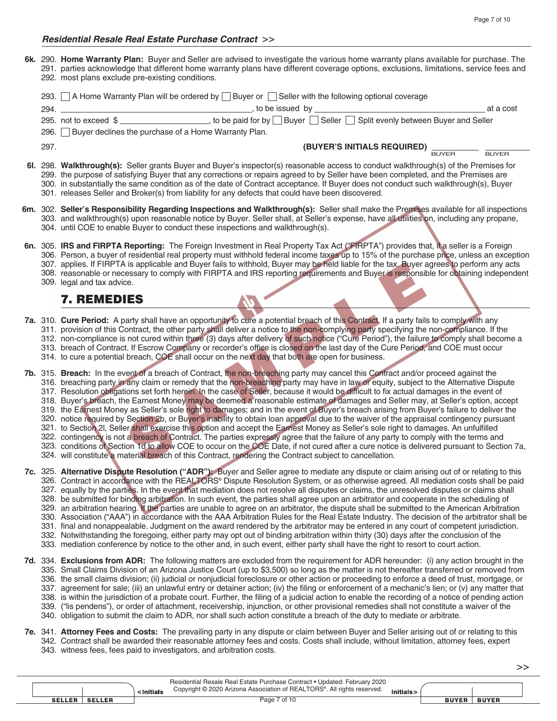**Home Warranty Plan:** Buyer and Seller are advised to investigate the various home warranty plans available for purchase. The **6k.** 290. 291. parties acknowledge that different home warranty plans have different coverage options, exclusions, limitations, service fees and 292. most plans exclude pre-existing conditions.

| 293. | A Home Warranty Plan will be ordered by $\Box$ Buyer or $\Box$ Seller with the following optional coverage                                                                                                                                                                                                                                                                                                                                                                                                               |              |
|------|--------------------------------------------------------------------------------------------------------------------------------------------------------------------------------------------------------------------------------------------------------------------------------------------------------------------------------------------------------------------------------------------------------------------------------------------------------------------------------------------------------------------------|--------------|
| 294. | to be issued by                                                                                                                                                                                                                                                                                                                                                                                                                                                                                                          | at a cost    |
|      | 295. not to exceed $\frac{1}{2}$ $\frac{1}{2}$ $\frac{1}{2}$ to be paid for by Buyer Seller Seller Split evenly between Buyer and Seller                                                                                                                                                                                                                                                                                                                                                                                 |              |
|      | 296.   Buyer declines the purchase of a Home Warranty Plan.                                                                                                                                                                                                                                                                                                                                                                                                                                                              |              |
| 297. | (BUYER'S INITIALS REQUIRED)<br><b>BUYER</b>                                                                                                                                                                                                                                                                                                                                                                                                                                                                              | <b>BUYER</b> |
|      | 6. 298. Walkthrough(s): Seller grants Buyer and Buyer's inspector(s) reasonable access to conduct walkthrough(s) of the Premises for<br>299. the purpose of satisfying Buyer that any corrections or repairs agreed to by Seller have been completed, and the Premises are<br>300. in substantially the same condition as of the date of Contract acceptance. If Buyer does not conduct such walkthrough(s), Buyer<br>301. releases Seller and Broker(s) from liability for any defects that could have been discovered. |              |
|      | 6m. 302. Seller's Responsibility Regarding Inspections and Walkthrough(s): Seller shall make the Premises available for all inspections<br>303. and walkthrough(s) upon reasonable notice by Buyer. Seller shall, at Seller's expense, have all utilities on, including any propane,<br>304. until COE to enable Buyer to conduct these inspections and walkthrough(s).                                                                                                                                                  |              |

- **IRS and FIRPTA Reporting:** The Foreign Investment in Real Property Tax Act ("FIRPTA") provides that, if a seller is a Foreign **6n.** 305. 306. Person, a buyer of residential real property must withhold federal income taxes up to 15% of the purchase price, unless an exception 307. applies. If FIRPTA is applicable and Buyer fails to withhold, Buyer may be held liable for the tax. Buyer agrees to perform any acts 308. reasonable or necessary to comply with FIRPTA and IRS reporting requirements and Buyer is responsible for obtaining independent
	- 309. legal and tax advice.
		- 7. REMEDIES

#### **Cure Period:** A party shall have an opportunity to cure a potential breach of this Contract. If a party fails to comply with any **7a.** 310. 311. provision of this Contract, the other party shall deliver a notice to the non-complying party specifying the non-compliance. If the

- 312. non-compliance is not cured within three (3) days after delivery of such notice ("Cure Period"), the failure to comply shall become a
- 313. breach of Contract. If Escrow Company or recorder's office is closed on the last day of the Cure Period, and COE must occur
- 314. to cure a potential breach, COE shall occur on the next day that both are open for business.
- **Breach:** In the event of a breach of Contract, the non-breaching party may cancel this Contract and/or proceed against the **7b.** 315. 316. breaching party in any claim or remedy that the non-breaching party may have in law or equity, subject to the Alternative Dispute
	- 317. Resolution obligations set forth herein. In the case of Seller, because it would be difficult to fix actual damages in the event of
	- 318. Buyer's breach, the Earnest Money may be deemed a reasonable estimate of damages and Seller may, at Seller's option, accept
	- 319. the Earnest Money as Seller's sole right to damages; and in the event of Buyer's breach arising from Buyer's failure to deliver the
	- 320. notice required by Section 2b, or Buyer's inability to obtain loan approval due to the waiver of the appraisal contingency pursuant
	- 321. to Section 2I, Seller shall exercise this option and accept the Earnest Money as Seller's sole right to damages. An unfulfilled
	- 322. contingency is not a breach of Contract. The parties expressly agree that the failure of any party to comply with the terms and
	- 323. conditions of Section 1d to allow COE to occur on the COE Date, if not cured after a cure notice is delivered pursuant to Section 7a,
	- 324. will constitute a material breach of this Contract, rendering the Contract subject to cancellation.
- **Alternative Dispute Resolution ("ADR"):** Buyer and Seller agree to mediate any dispute or claim arising out of or relating to this **7c.** 325. 326. Contract in accordance with the REALTORS® Dispute Resolution System, or as otherwise agreed. All mediation costs shall be paid 327. equally by the parties. In the event that mediation does not resolve all disputes or claims, the unresolved disputes or claims shall 328. be submitted for binding arbitration. In such event, the parties shall agree upon an arbitrator and cooperate in the scheduling of 329. an arbitration hearing. If the parties are unable to agree on an arbitrator, the dispute shall be submitted to the American Arbitration 330. Association ("AAA") in accordance with the AAA Arbitration Rules for the Real Estate Industry. The decision of the arbitrator shall be 331. final and nonappealable. Judgment on the award rendered by the arbitrator may be entered in any court of competent jurisdiction. 332. Notwithstanding the foregoing, either party may opt out of binding arbitration within thirty (30) days after the conclusion of the
	- 333. mediation conference by notice to the other and, in such event, either party shall have the right to resort to court action.
- **Exclusions from ADR:** The following matters are excluded from the requirement for ADR hereunder: (i) any action brought in the **7d.** 334. 335. Small Claims Division of an Arizona Justice Court (up to \$3,500) so long as the matter is not thereafter transferred or removed from 336. the small claims division; (ii) judicial or nonjudicial foreclosure or other action or proceeding to enforce a deed of trust, mortgage, or 337. agreement for sale; (iii) an unlawful entry or detainer action; (iv) the filing or enforcement of a mechanic's lien; or (v) any matter that 338. is within the jurisdiction of a probate court. Further, the filing of a judicial action to enable the recording of a notice of pending action ("lis pendens"), or order of attachment, receivership, injunction, or other provisional remedies shall not constitute a waiver of the 339. 340. obligation to submit the claim to ADR, nor shall such action constitute a breach of the duty to mediate or arbitrate.
- **Attorney Fees and Costs:** The prevailing party in any dispute or claim between Buyer and Seller arising out of or relating to this **7e.** 341. 342. Contract shall be awarded their reasonable attorney fees and costs. Costs shall include, without limitation, attorney fees, expert 343. witness fees, fees paid to investigators, and arbitration costs.

|               |               | <initials< th=""><th>Residential Resale Real Estate Purchase Contract • Updated: February 2020<br/>Copyright © 2020 Arizona Association of REALTORS®. All rights reserved.</th><th>Initials&gt;</th><th></th><th></th><th></th></initials<> | Residential Resale Real Estate Purchase Contract • Updated: February 2020<br>Copyright © 2020 Arizona Association of REALTORS®. All rights reserved. | Initials> |              |              |  |
|---------------|---------------|---------------------------------------------------------------------------------------------------------------------------------------------------------------------------------------------------------------------------------------------|------------------------------------------------------------------------------------------------------------------------------------------------------|-----------|--------------|--------------|--|
| <b>SELLER</b> | <b>SELLER</b> |                                                                                                                                                                                                                                             | Page 7 of 10                                                                                                                                         |           | <b>BUYER</b> | <b>BUYER</b> |  |
|               |               |                                                                                                                                                                                                                                             |                                                                                                                                                      |           |              |              |  |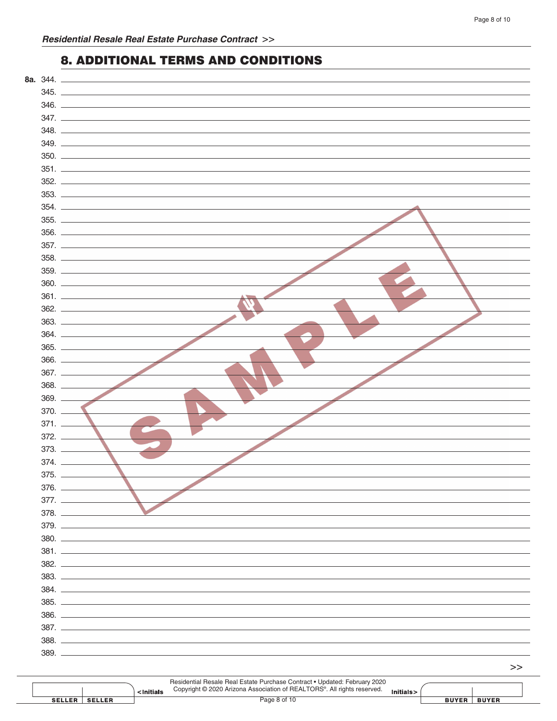### 8. ADDITIONAL TERMS AND CONDITIONS

| 8a. 344.   |              |
|------------|--------------|
|            |              |
|            |              |
|            |              |
|            | 348.         |
|            |              |
|            |              |
|            |              |
|            |              |
|            |              |
|            | 353.<br>354. |
|            |              |
|            | 355.         |
|            | 356.         |
|            |              |
|            |              |
|            |              |
|            | 360.         |
|            | 361.         |
|            |              |
|            |              |
|            |              |
|            |              |
|            |              |
|            |              |
|            |              |
| $369.$ $-$ |              |
| $370. -$   |              |
| $371. -$   |              |
| $372. -$   |              |
| 373.       |              |
| 374.       |              |
| $375.$ $-$ |              |
|            |              |
|            |              |
|            |              |
|            | 379.         |
|            |              |
|            |              |
|            |              |
|            |              |
|            |              |
|            |              |
|            |              |
|            |              |
|            |              |
|            |              |
|            | 389.         |

|               |               | <initials< th=""><th colspan="2">Residential Resale Real Estate Purchase Contract • Updated: February 2020<br/>Copyright © 2020 Arizona Association of REALTORS®. All rights reserved.</th><th></th><th></th><th></th></initials<> | Residential Resale Real Estate Purchase Contract • Updated: February 2020<br>Copyright © 2020 Arizona Association of REALTORS®. All rights reserved. |  |              |              |  |
|---------------|---------------|------------------------------------------------------------------------------------------------------------------------------------------------------------------------------------------------------------------------------------|------------------------------------------------------------------------------------------------------------------------------------------------------|--|--------------|--------------|--|
| <b>SELLER</b> | <b>SELLER</b> |                                                                                                                                                                                                                                    | Page 8 of 10                                                                                                                                         |  | <b>BUYER</b> | <b>BUYER</b> |  |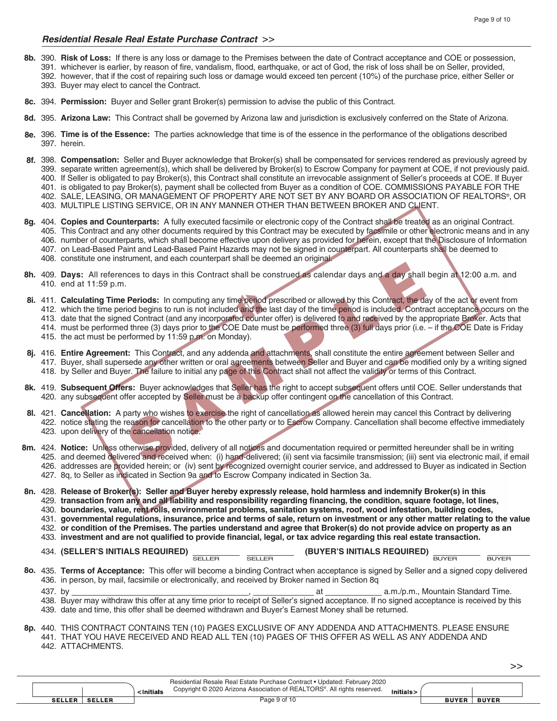#### *Residential Resale Real Estate Purchase Contract* >>

- **Risk of Loss:** If there is any loss or damage to the Premises between the date of Contract acceptance and COE or possession, **8b.** 390. 391. whichever is earlier, by reason of fire, vandalism, flood, earthquake, or act of God, the risk of loss shall be on Seller, provided, 392. however, that if the cost of repairing such loss or damage would exceed ten percent (10%) of the purchase price, either Seller or 393. Buyer may elect to cancel the Contract.
- **Permission:** Buyer and Seller grant Broker(s) permission to advise the public of this Contract. **8c.** 394.
- **Arizona Law:** This Contract shall be governed by Arizona law and jurisdiction is exclusively conferred on the State of Arizona. **8d.** 395.
- **Time is of the Essence:** The parties acknowledge that time is of the essence in the performance of the obligations described **8e.** 396. 397. herein.
- **Compensation:** Seller and Buyer acknowledge that Broker(s) shall be compensated for services rendered as previously agreed by **8f.** 398. 399. separate written agreement(s), which shall be delivered by Broker(s) to Escrow Company for payment at COE, if not previously paid. 400. If Seller is obligated to pay Broker(s), this Contract shall constitute an irrevocable assignment of Seller's proceeds at COE. If Buyer 401. is obligated to pay Broker(s), payment shall be collected from Buyer as a condition of COE. COMMISSIONS PAYABLE FOR THE
	- 402. SALE, LEASING, OR MANAGEMENT OF PROPERTY ARE NOT SET BY ANY BOARD OR ASSOCIATION OF REALTORS®, OR
	- MULTIPLE LISTING SERVICE, OR IN ANY MANNER OTHER THAN BETWEEN BROKER AND CLIENT. 403.
- **Copies and Counterparts:** A fully executed facsimile or electronic copy of the Contract shall be treated as an original Contract. **8g.** 404. 405. This Contract and any other documents required by this Contract may be executed by facsimile or other electronic means and in any 406. number of counterparts, which shall become effective upon delivery as provided for herein, except that the Disclosure of Information 407. on Lead-Based Paint and Lead-Based Paint Hazards may not be signed in counterpart. All counterparts shall be deemed to 408. constitute one instrument, and each counterpart shall be deemed an original.
- **Days:** All references to days in this Contract shall be construed as calendar days and a day shall begin at 12:00 a.m. and **8h.** 409. 410. end at 11:59 p.m.
- **Calculating Time Periods:** In computing any time period prescribed or allowed by this Contract, the day of the act or event from **8i.** 411. 412. which the time period begins to run is not included and the last day of the time period is included. Contract acceptance occurs on the 413. date that the signed Contract (and any incorporated counter offer) is delivered to and received by the appropriate Broker. Acts that
	- 414. must be performed three (3) days prior to the COE Date must be performed three (3) full days prior (i.e. if the COE Date is Friday
	- 415. the act must be performed by 11:59 p.m. on Monday).
- **Entire Agreement:** This Contract, and any addenda and attachments, shall constitute the entire agreement between Seller and **8j.** 416. 417. Buyer, shall supersede any other written or oral agreements between Seller and Buyer and can be modified only by a writing signed 418. by Seller and Buyer. The failure to initial any page of this Contract shall not affect the validity or terms of this Contract.
- 8k. 419. Subsequent Offers: Buyer acknowledges that Seller has the right to accept subsequent offers until COE. Seller understands that 420. any subsequent offer accepted by Seller must be a backup offer contingent on the cancellation of this Contract.
- **Cancellation:** A party who wishes to exercise the right of cancellation as allowed herein may cancel this Contract by delivering **8l.** 421. 422. notice stating the reason for cancellation to the other party or to Escrow Company. Cancellation shall become effective immediately 423. upon delivery of the cancellation notice.
- **Notice:** Unless otherwise provided, delivery of all notices and documentation required or permitted hereunder shall be in writing **8m.** 424. 425. and deemed delivered and received when: (i) hand-delivered; (ii) sent via facsimile transmission; (iii) sent via electronic mail, if email 426. addresses are provided herein; or (iv) sent by recognized overnight courier service, and addressed to Buyer as indicated in Section 427. 8q, to Seller as indicated in Section 9a and to Escrow Company indicated in Section 3a.
- **Release of Broker(s): Seller and Buyer hereby expressly release, hold harmless and indemnify Broker(s) in this 8n.** 428. **transaction from any and all liability and responsibility regarding financing, the condition, square footage, lot lines,**  429.
	- **boundaries, value, rent rolls, environmental problems, sanitation systems, roof, wood infestation, building codes,**  430.
	- **governmental regulations, insurance, price and terms of sale, return on investment or any other matter relating to the value**  431.
	- **or condition of the Premises. The parties understand and agree that Broker(s) do not provide advice on property as an**  432. **investment and are not qualified to provide financial, legal, or tax advice regarding this real estate transaction.** 433.
	- 134. **(SELLER'S INITIALS REQUIRED)** \_\_\_\_\_\_\_\_\_\_\_\_\_\_\_\_\_\_\_\_\_\_\_\_ (BUYER'S INITIALS REQUIRED) \_\_\_\_\_\_\_\_\_\_\_\_\_\_\_\_\_ <sub>BUYER</sub>

>>

- **Terms of Acceptance:** This offer will become a binding Contract when acceptance is signed by Seller and a signed copy delivered **8o.** 435. 436. in person, by mail, facsimile or electronically, and received by Broker named in Section 8q
	- at \_\_\_\_\_\_\_\_\_\_\_\_\_\_\_\_\_\_\_\_ a.m./p.m., Mountain Standard Time. 438. Buyer may withdraw this offer at any time prior to receipt of Seller's signed acceptance. If no signed acceptance is received by this 437. by
	- 439. date and time, this offer shall be deemed withdrawn and Buyer's Earnest Money shall be returned.

<sup>8</sup>p. 440. THIS CONTRACT CONTAINS TEN (10) PAGES EXCLUSIVE OF ANY ADDENDA AND ATTACHMENTS. PLEASE ENSURE 441. THAT YOU HAVE RECEIVED AND READ ALL TEN (10) PAGES OF THIS OFFER AS WELL AS ANY ADDENDA AND 442. ATTACHMENTS.

|                 | ∽Initials     |  | Residential Resale Real Estate Purchase Contract • Updated: February 2020<br>Copyright © 2020 Arizona Association of REALTORS®. All rights reserved. |  |              |              |  |
|-----------------|---------------|--|------------------------------------------------------------------------------------------------------------------------------------------------------|--|--------------|--------------|--|
| <b>SELLER</b> I | <b>SELLER</b> |  | Page 9 of 10                                                                                                                                         |  | <b>BUYER</b> | <b>BUYER</b> |  |
|                 |               |  |                                                                                                                                                      |  |              |              |  |